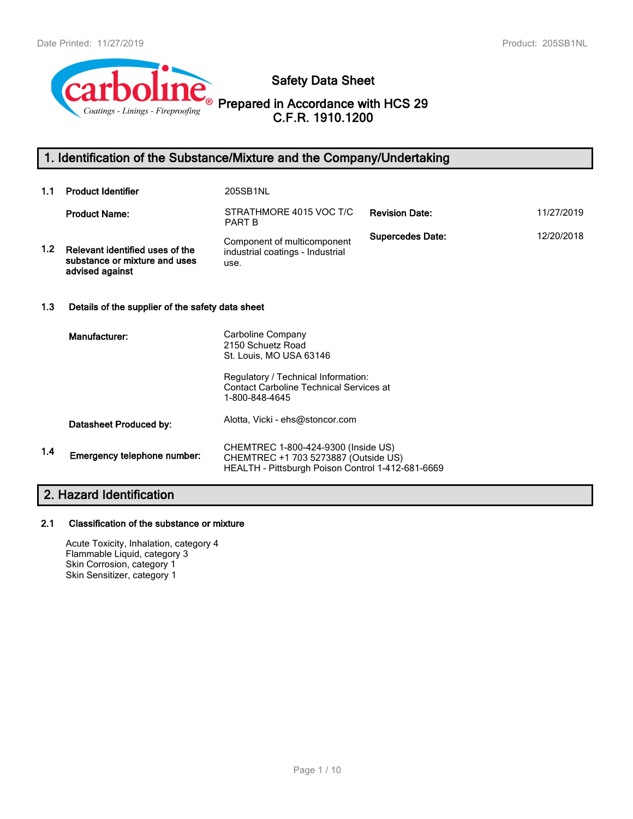

**Safety Data Sheet**

**Prepared in Accordance with HCS 29 C.F.R. 1910.1200**

# **1. Identification of the Substance/Mixture and the Company/Undertaking**

| 1.1                      | <b>Product Identifier</b>                                                           | 205SB1NL                                                                                                                         |                         |            |  |
|--------------------------|-------------------------------------------------------------------------------------|----------------------------------------------------------------------------------------------------------------------------------|-------------------------|------------|--|
|                          | <b>Product Name:</b>                                                                | STRATHMORE 4015 VOC T/C<br><b>PART B</b>                                                                                         | <b>Revision Date:</b>   | 11/27/2019 |  |
| 1.2                      | Relevant identified uses of the<br>substance or mixture and uses<br>advised against | Component of multicomponent<br>industrial coatings - Industrial<br>use.                                                          | <b>Supercedes Date:</b> | 12/20/2018 |  |
| 1.3                      | Details of the supplier of the safety data sheet                                    |                                                                                                                                  |                         |            |  |
|                          | Manufacturer:                                                                       | Carboline Company<br>2150 Schuetz Road<br>St. Louis, MO USA 63146<br>Regulatory / Technical Information:                         |                         |            |  |
|                          |                                                                                     | <b>Contact Carboline Technical Services at</b><br>1-800-848-4645                                                                 |                         |            |  |
|                          | Datasheet Produced by:                                                              | Alotta, Vicki - ehs@stoncor.com                                                                                                  |                         |            |  |
| 1.4                      | Emergency telephone number:                                                         | CHEMTREC 1-800-424-9300 (Inside US)<br>CHEMTREC +1 703 5273887 (Outside US)<br>HEALTH - Pittsburgh Poison Control 1-412-681-6669 |                         |            |  |
| 2. Hazard Identification |                                                                                     |                                                                                                                                  |                         |            |  |

# **2.1 Classification of the substance or mixture**

Acute Toxicity, Inhalation, category 4 Flammable Liquid, category 3 Skin Corrosion, category 1 Skin Sensitizer, category 1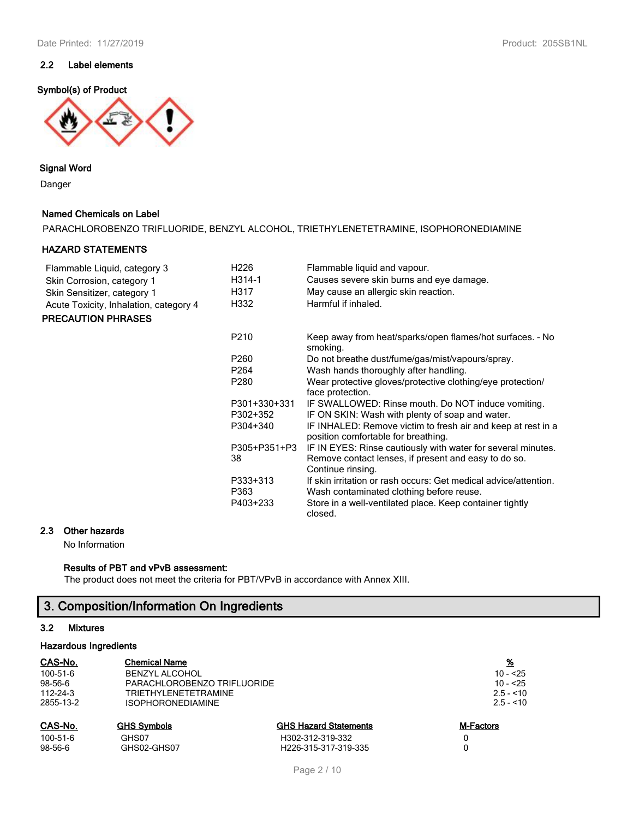## **2.2 Label elements**

#### **Symbol(s) of Product**



### **Signal Word**

Danger

### **Named Chemicals on Label**

PARACHLOROBENZO TRIFLUORIDE, BENZYL ALCOHOL, TRIETHYLENETETRAMINE, ISOPHORONEDIAMINE

### **HAZARD STATEMENTS**

| Flammable Liquid, category 3           | H226             | Flammable liquid and vapour.                                                                        |
|----------------------------------------|------------------|-----------------------------------------------------------------------------------------------------|
| Skin Corrosion, category 1             | H314-1           | Causes severe skin burns and eye damage.                                                            |
| Skin Sensitizer, category 1            | H317             | May cause an allergic skin reaction.                                                                |
| Acute Toxicity, Inhalation, category 4 | H332             | Harmful if inhaled.                                                                                 |
| <b>PRECAUTION PHRASES</b>              |                  |                                                                                                     |
|                                        | P210             | Keep away from heat/sparks/open flames/hot surfaces. - No<br>smoking.                               |
|                                        | P <sub>260</sub> | Do not breathe dust/fume/gas/mist/vapours/spray.                                                    |
|                                        | P <sub>264</sub> | Wash hands thoroughly after handling.                                                               |
|                                        | P280             | Wear protective gloves/protective clothing/eye protection/<br>face protection.                      |
|                                        | P301+330+331     | IF SWALLOWED: Rinse mouth. Do NOT induce vomiting.                                                  |
|                                        | P302+352         | IF ON SKIN: Wash with plenty of soap and water.                                                     |
|                                        | P304+340         | IF INHALED: Remove victim to fresh air and keep at rest in a<br>position comfortable for breathing. |
|                                        | P305+P351+P3     | IF IN EYES: Rinse cautiously with water for several minutes.                                        |
|                                        | 38               | Remove contact lenses, if present and easy to do so.<br>Continue rinsing.                           |
|                                        | P333+313         | If skin irritation or rash occurs: Get medical advice/attention.                                    |
|                                        | P363             | Wash contaminated clothing before reuse.                                                            |
|                                        | P403+233         | Store in a well-ventilated place. Keep container tightly<br>closed.                                 |

# **2.3 Other hazards**

No Information

#### **Results of PBT and vPvB assessment:**

The product does not meet the criteria for PBT/VPvB in accordance with Annex XIII.

# **3. Composition/Information On Ingredients**

#### **3.2 Mixtures**

#### **Hazardous Ingredients**

| CAS-No.        | <b>Chemical Name</b>        |                              | <u>%</u>   |
|----------------|-----------------------------|------------------------------|------------|
| 100-51-6       | <b>BENZYL ALCOHOL</b>       |                              | $10 - 25$  |
| 98-56-6        | PARACHLOROBENZO TRIFLUORIDE |                              | $10 - 25$  |
| $112 - 24 - 3$ | <b>TRIETHYLENETETRAMINE</b> |                              | $2.5 - 10$ |
| 2855-13-2      | <b>ISOPHORONEDIAMINE</b>    |                              | $2.5 - 10$ |
| CAS-No.        | <b>GHS Symbols</b>          | <b>GHS Hazard Statements</b> | M-Factors  |
| 100-51-6       | GHS07                       | H302-312-319-332             |            |
| $98-56-6$      | GHS02-GHS07                 | H226-315-317-319-335         |            |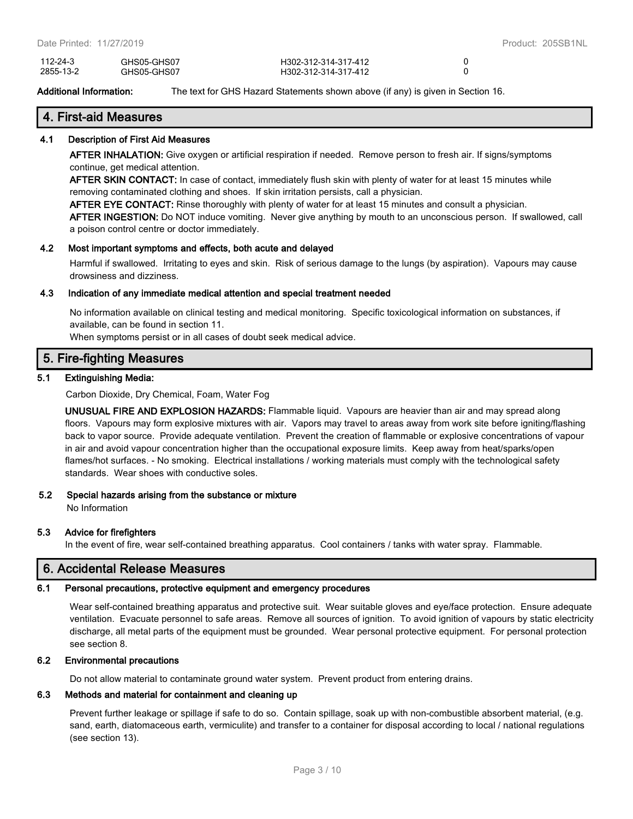| 112-24-3  | GHS05-GHS07 | H302-312-314-317-412 |  |
|-----------|-------------|----------------------|--|
| 2855-13-2 | GHS05-GHS07 | H302-312-314-317-412 |  |

**Additional Information:** The text for GHS Hazard Statements shown above (if any) is given in Section 16.

## **4. First-aid Measures**

#### **4.1 Description of First Aid Measures**

**AFTER INHALATION:** Give oxygen or artificial respiration if needed. Remove person to fresh air. If signs/symptoms continue, get medical attention.

**AFTER SKIN CONTACT:** In case of contact, immediately flush skin with plenty of water for at least 15 minutes while removing contaminated clothing and shoes. If skin irritation persists, call a physician.

**AFTER EYE CONTACT:** Rinse thoroughly with plenty of water for at least 15 minutes and consult a physician.

**AFTER INGESTION:** Do NOT induce vomiting. Never give anything by mouth to an unconscious person. If swallowed, call a poison control centre or doctor immediately.

#### **4.2 Most important symptoms and effects, both acute and delayed**

Harmful if swallowed. Irritating to eyes and skin. Risk of serious damage to the lungs (by aspiration). Vapours may cause drowsiness and dizziness.

#### **4.3 Indication of any immediate medical attention and special treatment needed**

No information available on clinical testing and medical monitoring. Specific toxicological information on substances, if available, can be found in section 11.

When symptoms persist or in all cases of doubt seek medical advice.

## **5. Fire-fighting Measures**

#### **5.1 Extinguishing Media:**

Carbon Dioxide, Dry Chemical, Foam, Water Fog

**UNUSUAL FIRE AND EXPLOSION HAZARDS:** Flammable liquid. Vapours are heavier than air and may spread along floors. Vapours may form explosive mixtures with air. Vapors may travel to areas away from work site before igniting/flashing back to vapor source. Provide adequate ventilation. Prevent the creation of flammable or explosive concentrations of vapour in air and avoid vapour concentration higher than the occupational exposure limits. Keep away from heat/sparks/open flames/hot surfaces. - No smoking. Electrical installations / working materials must comply with the technological safety standards. Wear shoes with conductive soles.

#### **5.2 Special hazards arising from the substance or mixture**

No Information

#### **5.3 Advice for firefighters**

In the event of fire, wear self-contained breathing apparatus. Cool containers / tanks with water spray. Flammable.

## **6. Accidental Release Measures**

#### **6.1 Personal precautions, protective equipment and emergency procedures**

Wear self-contained breathing apparatus and protective suit. Wear suitable gloves and eye/face protection. Ensure adequate ventilation. Evacuate personnel to safe areas. Remove all sources of ignition. To avoid ignition of vapours by static electricity discharge, all metal parts of the equipment must be grounded. Wear personal protective equipment. For personal protection see section 8.

#### **6.2 Environmental precautions**

Do not allow material to contaminate ground water system. Prevent product from entering drains.

#### **6.3 Methods and material for containment and cleaning up**

Prevent further leakage or spillage if safe to do so. Contain spillage, soak up with non-combustible absorbent material, (e.g. sand, earth, diatomaceous earth, vermiculite) and transfer to a container for disposal according to local / national regulations (see section 13).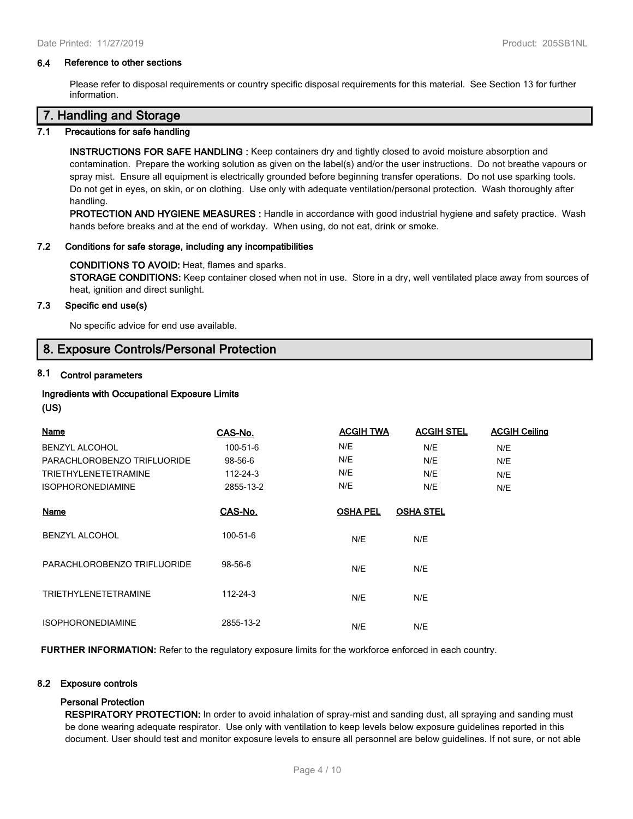#### **6.4 Reference to other sections**

Please refer to disposal requirements or country specific disposal requirements for this material. See Section 13 for further information.

## **7. Handling and Storage**

#### **7.1 Precautions for safe handling**

**INSTRUCTIONS FOR SAFE HANDLING :** Keep containers dry and tightly closed to avoid moisture absorption and contamination. Prepare the working solution as given on the label(s) and/or the user instructions. Do not breathe vapours or spray mist. Ensure all equipment is electrically grounded before beginning transfer operations. Do not use sparking tools. Do not get in eyes, on skin, or on clothing. Use only with adequate ventilation/personal protection. Wash thoroughly after handling.

**PROTECTION AND HYGIENE MEASURES :** Handle in accordance with good industrial hygiene and safety practice. Wash hands before breaks and at the end of workday. When using, do not eat, drink or smoke.

#### **7.2 Conditions for safe storage, including any incompatibilities**

#### **CONDITIONS TO AVOID:** Heat, flames and sparks.

**STORAGE CONDITIONS:** Keep container closed when not in use. Store in a dry, well ventilated place away from sources of heat, ignition and direct sunlight.

#### **7.3 Specific end use(s)**

No specific advice for end use available.

## **8. Exposure Controls/Personal Protection**

## **8.1 Control parameters**

## **Ingredients with Occupational Exposure Limits**

#### **(US)**

| Name                        | CAS-No.   | <b>ACGIH TWA</b> | <b>ACGIH STEL</b> | <b>ACGIH Ceiling</b> |
|-----------------------------|-----------|------------------|-------------------|----------------------|
| <b>BENZYL ALCOHOL</b>       | 100-51-6  | N/E              | N/E               | N/E                  |
| PARACHLOROBENZO TRIFLUORIDE | 98-56-6   | N/E              | N/E               | N/E                  |
| <b>TRIETHYLENETETRAMINE</b> | 112-24-3  | N/E              | N/E               | N/E                  |
| <b>ISOPHORONEDIAMINE</b>    | 2855-13-2 | N/E              | N/E               | N/E                  |
| Name                        | CAS-No.   | <b>OSHA PEL</b>  | <b>OSHA STEL</b>  |                      |
| <b>BENZYL ALCOHOL</b>       | 100-51-6  | N/E              | N/E               |                      |
| PARACHLOROBENZO TRIFLUORIDE | 98-56-6   | N/E              | N/E               |                      |
| <b>TRIETHYLENETETRAMINE</b> | 112-24-3  | N/E              | N/E               |                      |
| <b>ISOPHORONEDIAMINE</b>    | 2855-13-2 | N/E              | N/E               |                      |

**FURTHER INFORMATION:** Refer to the regulatory exposure limits for the workforce enforced in each country.

### **8.2 Exposure controls**

#### **Personal Protection**

**RESPIRATORY PROTECTION:** In order to avoid inhalation of spray-mist and sanding dust, all spraying and sanding must be done wearing adequate respirator. Use only with ventilation to keep levels below exposure guidelines reported in this document. User should test and monitor exposure levels to ensure all personnel are below guidelines. If not sure, or not able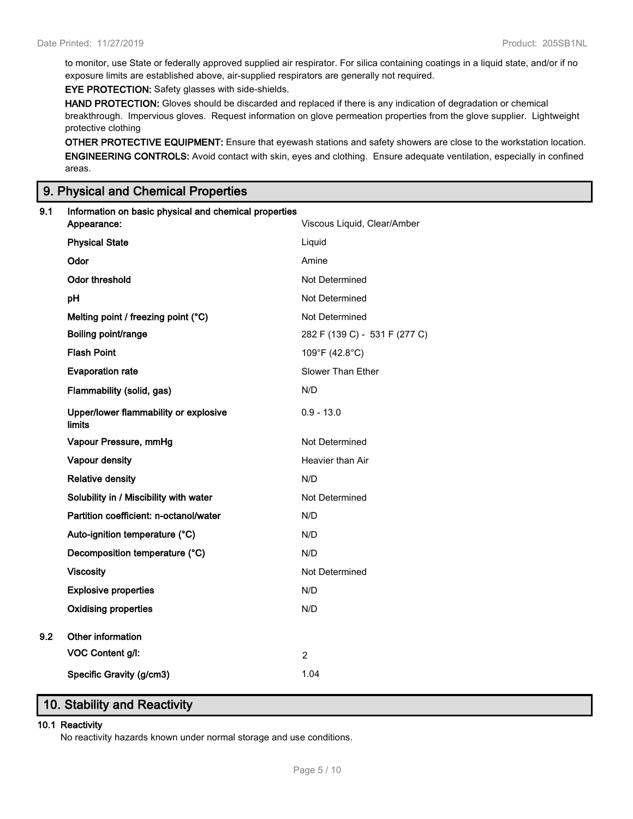to monitor, use State or federally approved supplied air respirator. For silica containing coatings in a liquid state, and/or if no exposure limits are established above, air-supplied respirators are generally not required.

**EYE PROTECTION:** Safety glasses with side-shields.

**HAND PROTECTION:** Gloves should be discarded and replaced if there is any indication of degradation or chemical breakthrough. Impervious gloves. Request information on glove permeation properties from the glove supplier. Lightweight protective clothing

**OTHER PROTECTIVE EQUIPMENT:** Ensure that eyewash stations and safety showers are close to the workstation location. **ENGINEERING CONTROLS:** Avoid contact with skin, eyes and clothing. Ensure adequate ventilation, especially in confined areas.

# **9. Physical and Chemical Properties**

| 9.1 | Information on basic physical and chemical properties<br>Appearance: | Viscous Liquid, Clear/Amber   |
|-----|----------------------------------------------------------------------|-------------------------------|
|     | <b>Physical State</b>                                                | Liquid                        |
|     | Odor                                                                 | Amine                         |
|     | <b>Odor threshold</b>                                                | Not Determined                |
|     | pH                                                                   | Not Determined                |
|     | Melting point / freezing point (°C)                                  | Not Determined                |
|     | Boiling point/range                                                  | 282 F (139 C) - 531 F (277 C) |
|     | <b>Flash Point</b>                                                   | 109°F (42.8°C)                |
|     | <b>Evaporation rate</b>                                              | Slower Than Ether             |
|     | Flammability (solid, gas)                                            | N/D                           |
|     | Upper/lower flammability or explosive<br>limits                      | $0.9 - 13.0$                  |
|     | Vapour Pressure, mmHg                                                | Not Determined                |
|     | Vapour density                                                       | Heavier than Air              |
|     | <b>Relative density</b>                                              | N/D                           |
|     | Solubility in / Miscibility with water                               | Not Determined                |
|     | Partition coefficient: n-octanol/water                               | N/D                           |
|     | Auto-ignition temperature (°C)                                       | N/D                           |
|     | Decomposition temperature (°C)                                       | N/D                           |
|     | <b>Viscosity</b>                                                     | Not Determined                |
|     | <b>Explosive properties</b>                                          | N/D                           |
|     | <b>Oxidising properties</b>                                          | N/D                           |
| 9.2 | Other information                                                    |                               |
|     | VOC Content g/l:                                                     | $\overline{2}$                |
|     | Specific Gravity (g/cm3)                                             | 1.04                          |

# **10. Stability and Reactivity**

#### **10.1 Reactivity**

No reactivity hazards known under normal storage and use conditions.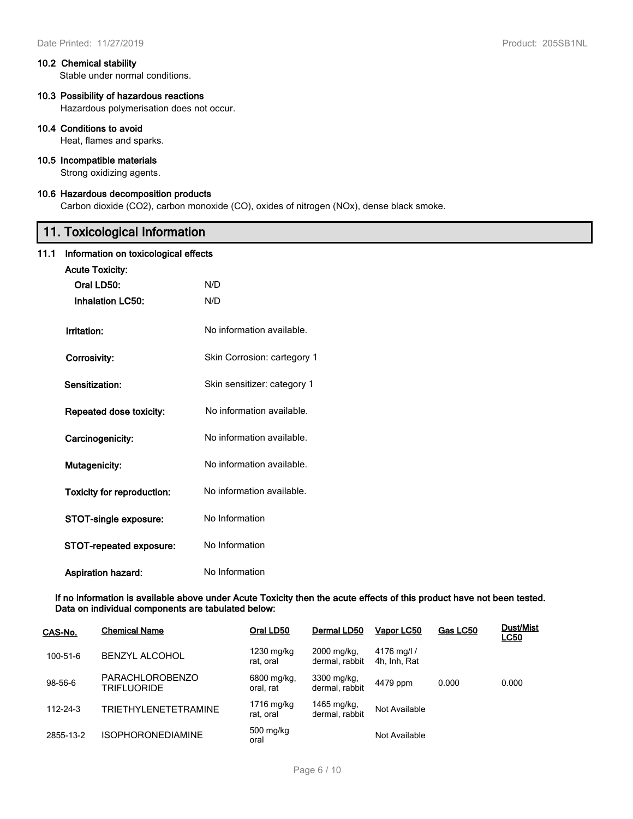#### **10.2 Chemical stability**

Stable under normal conditions.

## **10.3 Possibility of hazardous reactions**

Hazardous polymerisation does not occur.

#### **10.4 Conditions to avoid**

Heat, flames and sparks.

### **10.5 Incompatible materials**

Strong oxidizing agents.

## **10.6 Hazardous decomposition products**

Carbon dioxide (CO2), carbon monoxide (CO), oxides of nitrogen (NOx), dense black smoke.

# **11. Toxicological Information**

# **11.1 Information on toxicological effects**

| <b>INTERNATION OF CONFOCIO SHOOT CHOOLS</b> |                             |
|---------------------------------------------|-----------------------------|
| <b>Acute Toxicity:</b>                      |                             |
| Oral LD50:                                  | N/D                         |
| <b>Inhalation LC50:</b>                     | N/D                         |
| Irritation:                                 | No information available.   |
| Corrosivity:                                | Skin Corrosion: cartegory 1 |
| Sensitization:                              | Skin sensitizer: category 1 |
| Repeated dose toxicity:                     | No information available.   |
| Carcinogenicity:                            | No information available.   |
| Mutagenicity:                               | No information available.   |
| <b>Toxicity for reproduction:</b>           | No information available.   |
| STOT-single exposure:                       | No Information              |
| STOT-repeated exposure:                     | No Information              |
| <b>Aspiration hazard:</b>                   | No Information              |

#### **If no information is available above under Acute Toxicity then the acute effects of this product have not been tested. Data on individual components are tabulated below:**

| CAS-No.        | <b>Chemical Name</b>                         | Oral LD50                | Dermal LD50                   | Vapor LC50                  | Gas LC50 | <b>Dust/Mist</b><br><b>LC50</b> |
|----------------|----------------------------------------------|--------------------------|-------------------------------|-----------------------------|----------|---------------------------------|
| 100-51-6       | <b>BENZYL ALCOHOL</b>                        | 1230 mg/kg<br>rat. oral  | 2000 mg/kg,<br>dermal, rabbit | 4176 mg/l /<br>4h, Inh, Rat |          |                                 |
| 98-56-6        | <b>PARACHLOROBENZO</b><br><b>TRIFLUORIDE</b> | 6800 mg/kg,<br>oral. rat | 3300 mg/kg,<br>dermal. rabbit | 4479 ppm                    | 0.000    | 0.000                           |
| $112 - 24 - 3$ | TRIETHYLENETETRAMINE                         | 1716 mg/kg<br>rat. oral  | 1465 mg/kg,<br>dermal, rabbit | Not Available               |          |                                 |
| 2855-13-2      | <b>ISOPHORONEDIAMINE</b>                     | 500 mg/kg<br>oral        |                               | Not Available               |          |                                 |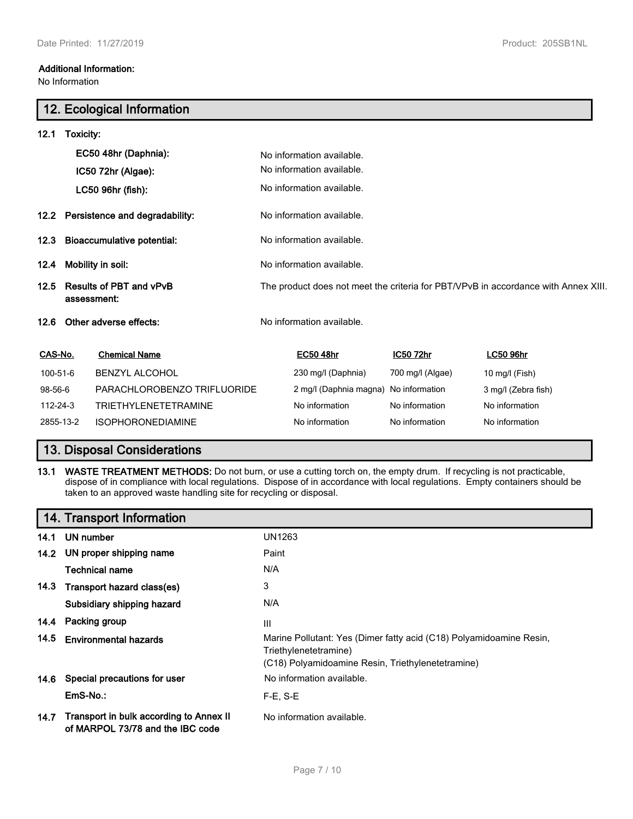No Information

# **12. Ecological Information**

| 12.1      | Toxicity:                                     |                             |                                                                                    |                           |                  |                     |
|-----------|-----------------------------------------------|-----------------------------|------------------------------------------------------------------------------------|---------------------------|------------------|---------------------|
|           | EC50 48hr (Daphnia):                          |                             |                                                                                    | No information available. |                  |                     |
|           |                                               | IC50 72hr (Algae):          |                                                                                    | No information available. |                  |                     |
|           |                                               | LC50 96hr (fish):           |                                                                                    | No information available. |                  |                     |
|           | 12.2 Persistence and degradability:           |                             | No information available.                                                          |                           |                  |                     |
| 12.3      | <b>Bioaccumulative potential:</b>             |                             | No information available.                                                          |                           |                  |                     |
| 12.4      | Mobility in soil:                             |                             | No information available.                                                          |                           |                  |                     |
| 12.5      | <b>Results of PBT and vPvB</b><br>assessment: |                             | The product does not meet the criteria for PBT/VPvB in accordance with Annex XIII. |                           |                  |                     |
| 12.6      |                                               | Other adverse effects:      |                                                                                    | No information available. |                  |                     |
| CAS-No.   |                                               | <b>Chemical Name</b>        |                                                                                    | <b>EC50 48hr</b>          | <b>IC50 72hr</b> | <b>LC50 96hr</b>    |
| 100-51-6  |                                               | <b>BENZYL ALCOHOL</b>       |                                                                                    | 230 mg/l (Daphnia)        | 700 mg/l (Algae) | 10 mg/l (Fish)      |
| 98-56-6   |                                               | PARACHLOROBENZO TRIFLUORIDE |                                                                                    | 2 mg/l (Daphnia magna)    | No information   | 3 mg/l (Zebra fish) |
| 112-24-3  |                                               | <b>TRIETHYLENETETRAMINE</b> |                                                                                    | No information            | No information   | No information      |
| 2855-13-2 |                                               | <b>ISOPHORONEDIAMINE</b>    |                                                                                    | No information            | No information   | No information      |

# **13. Disposal Considerations**

**13.1 WASTE TREATMENT METHODS:** Do not burn, or use a cutting torch on, the empty drum. If recycling is not practicable, dispose of in compliance with local regulations. Dispose of in accordance with local regulations. Empty containers should be taken to an approved waste handling site for recycling or disposal.

|      | 14. Transport Information                                                   |                                                                                                                                                   |
|------|-----------------------------------------------------------------------------|---------------------------------------------------------------------------------------------------------------------------------------------------|
| 14.1 | UN number                                                                   | UN1263                                                                                                                                            |
|      | 14.2 UN proper shipping name                                                | Paint                                                                                                                                             |
|      | <b>Technical name</b>                                                       | N/A                                                                                                                                               |
|      | 14.3 Transport hazard class(es)                                             | 3                                                                                                                                                 |
|      | Subsidiary shipping hazard                                                  | N/A                                                                                                                                               |
|      | 14.4 Packing group                                                          | Ш                                                                                                                                                 |
| 14.5 | <b>Environmental hazards</b>                                                | Marine Pollutant: Yes (Dimer fatty acid (C18) Polyamidoamine Resin,<br>Triethylenetetramine)<br>(C18) Polyamidoamine Resin, Triethylenetetramine) |
|      | 14.6 Special precautions for user                                           | No information available.                                                                                                                         |
|      | EmS-No.:                                                                    | $F-E$ , $S-E$                                                                                                                                     |
| 14.7 | Transport in bulk according to Annex II<br>of MARPOL 73/78 and the IBC code | No information available.                                                                                                                         |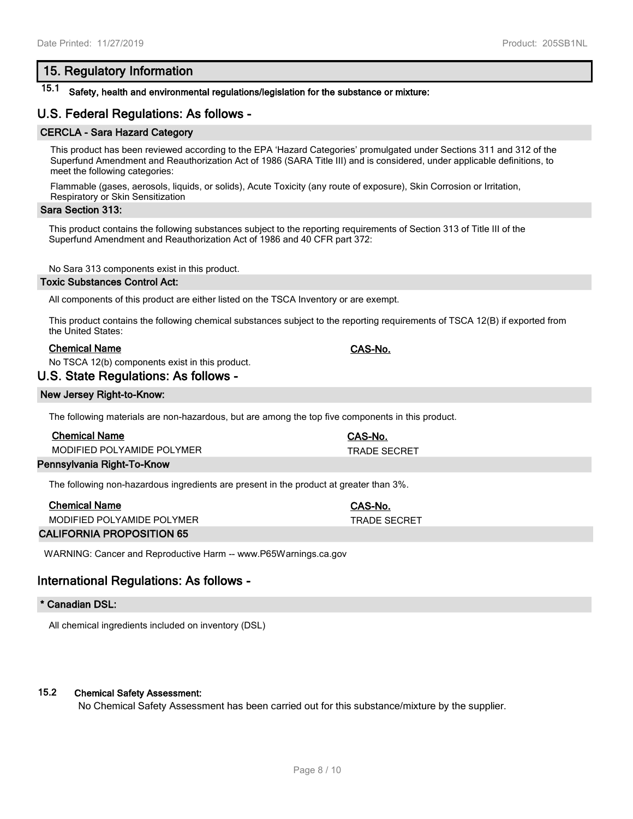# **15. Regulatory Information**

# **15.1 Safety, health and environmental regulations/legislation for the substance or mixture:**

# **U.S. Federal Regulations: As follows -**

#### **CERCLA - Sara Hazard Category**

This product has been reviewed according to the EPA 'Hazard Categories' promulgated under Sections 311 and 312 of the Superfund Amendment and Reauthorization Act of 1986 (SARA Title III) and is considered, under applicable definitions, to meet the following categories:

Flammable (gases, aerosols, liquids, or solids), Acute Toxicity (any route of exposure), Skin Corrosion or Irritation, Respiratory or Skin Sensitization

#### **Sara Section 313:**

This product contains the following substances subject to the reporting requirements of Section 313 of Title III of the Superfund Amendment and Reauthorization Act of 1986 and 40 CFR part 372:

No Sara 313 components exist in this product.

#### **Toxic Substances Control Act:**

All components of this product are either listed on the TSCA Inventory or are exempt.

This product contains the following chemical substances subject to the reporting requirements of TSCA 12(B) if exported from the United States:

### **Chemical Name CAS-No.**

No TSCA 12(b) components exist in this product.

## **U.S. State Regulations: As follows -**

#### **New Jersey Right-to-Know:**

The following materials are non-hazardous, but are among the top five components in this product.

| <b>Chemical Name</b>       | <b>CAS-No.</b>      |
|----------------------------|---------------------|
| MODIFIED POLYAMIDE POLYMER | <b>TRADE SECRET</b> |
| Pennsylvania Right-To-Know |                     |

The following non-hazardous ingredients are present in the product at greater than 3%.

| <b>Chemical Name</b>       | CAS-No.             |
|----------------------------|---------------------|
| MODIFIED POLYAMIDE POLYMER | <b>TRADE SECRET</b> |
| ALIEODNIIA DDODOCITIONI AE |                     |

**CALIFORNIA PROPOSITION 65**

WARNING: Cancer and Reproductive Harm -- www.P65Warnings.ca.gov

## **International Regulations: As follows -**

#### **\* Canadian DSL:**

All chemical ingredients included on inventory (DSL)

#### **15.2 Chemical Safety Assessment:**

No Chemical Safety Assessment has been carried out for this substance/mixture by the supplier.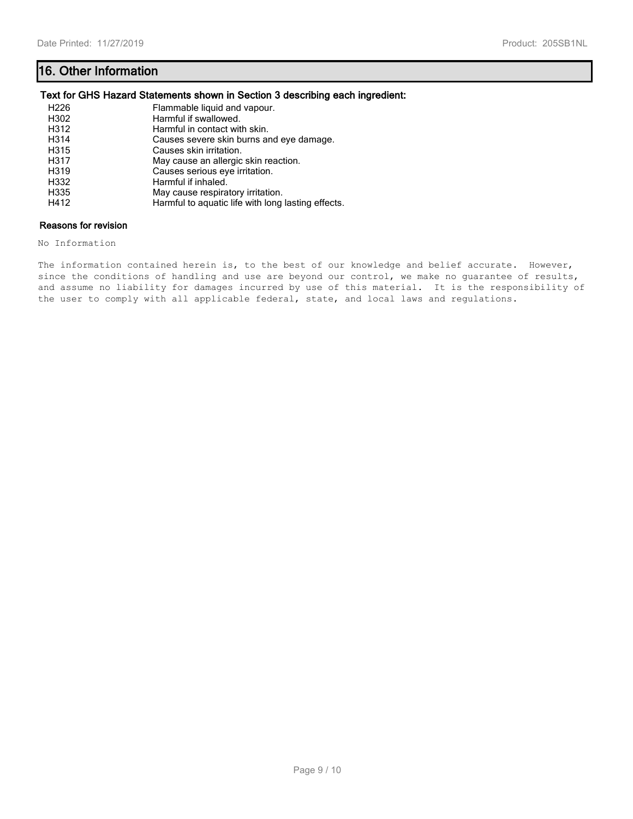# **16. Other Information**

## **Text for GHS Hazard Statements shown in Section 3 describing each ingredient:**

| H <sub>226</sub> | Flammable liquid and vapour.                       |
|------------------|----------------------------------------------------|
| H302             | Harmful if swallowed.                              |
| H312             | Harmful in contact with skin.                      |
| H314             | Causes severe skin burns and eye damage.           |
| H315             | Causes skin irritation.                            |
| H317             | May cause an allergic skin reaction.               |
| H319             | Causes serious eye irritation.                     |
| H332             | Harmful if inhaled.                                |
| H335             | May cause respiratory irritation.                  |
| H412             | Harmful to aquatic life with long lasting effects. |

## **Reasons for revision**

No Information

The information contained herein is, to the best of our knowledge and belief accurate. However, since the conditions of handling and use are beyond our control, we make no guarantee of results, and assume no liability for damages incurred by use of this material. It is the responsibility of the user to comply with all applicable federal, state, and local laws and regulations.